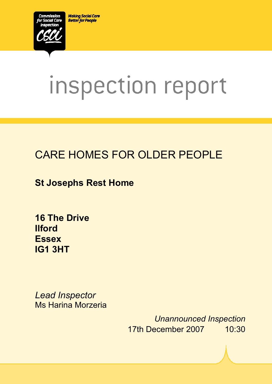**Making Social Care Better for People** 



# inspection report

# CARE HOMES FOR OLDER PEOPLE

**St Josephs Rest Home** 

**16 The Drive Ilford Essex IG1 3HT** 

*Lead Inspector*  Ms Harina Morzeria

ī

*Unannounced Inspection* 17th December 2007 10:30

 $X_1$ 1015.doc Version 1.40 Page 1.40 Page 1.40 Page 1.40 Page 1.40 Page 1.40 Page 1.40 Page 1.40 Page 1.40 Page 1.40 Page 1.40 Page 1.40 Page 1.40 Page 1.40 Page 1.40 Page 1.40 Page 1.40 Page 1.40 Page 1.40 Page 1.40 Page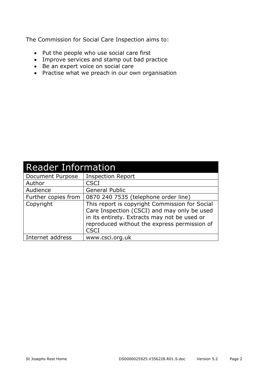The Commission for Social Care Inspection aims to:

- Put the people who use social care first
- Improve services and stamp out bad practice
- Be an expert voice on social care
- Practise what we preach in our own organisation

| <b>Reader Information</b> |                                                                                                                                                                                                              |  |
|---------------------------|--------------------------------------------------------------------------------------------------------------------------------------------------------------------------------------------------------------|--|
| Document Purpose          | <b>Inspection Report</b>                                                                                                                                                                                     |  |
| Author                    | <b>CSCI</b>                                                                                                                                                                                                  |  |
| Audience                  | <b>General Public</b>                                                                                                                                                                                        |  |
| Further copies from       | 0870 240 7535 (telephone order line)                                                                                                                                                                         |  |
| Copyright                 | This report is copyright Commission for Social<br>Care Inspection (CSCI) and may only be used<br>in its entirety. Extracts may not be used or<br>reproduced without the express permission of<br><b>CSCI</b> |  |
| Internet address          | www.csci.org.uk                                                                                                                                                                                              |  |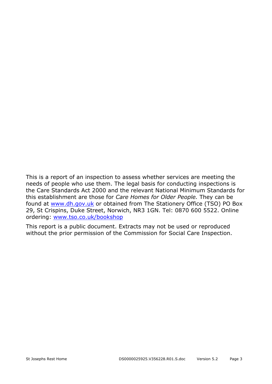This is a report of an inspection to assess whether services are meeting the needs of people who use them. The legal basis for conducting inspections is the Care Standards Act 2000 and the relevant National Minimum Standards for this establishment are those for *Care Homes for Older People.* They can be found at www.dh.gov.uk or obtained from The Stationery Office (TSO) PO Box 29, St Crispins, Duke Street, Norwich, NR3 1GN. Tel: 0870 600 5522. Online ordering: www.tso.co.uk/bookshop

This report is a public document. Extracts may not be used or reproduced without the prior permission of the Commission for Social Care Inspection.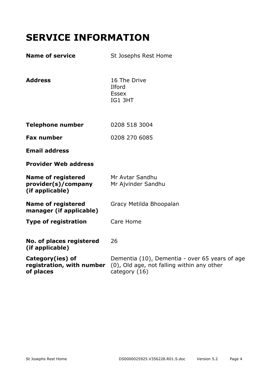# **SERVICE INFORMATION**

| <b>Name of service</b>                                              | St Josephs Rest Home                                                                                          |
|---------------------------------------------------------------------|---------------------------------------------------------------------------------------------------------------|
| <b>Address</b>                                                      | 16 The Drive<br>Ilford<br><b>Essex</b><br>IG1 3HT                                                             |
| <b>Telephone number</b>                                             | 0208 518 3004                                                                                                 |
| <b>Fax number</b>                                                   | 0208 270 6085                                                                                                 |
| <b>Email address</b>                                                |                                                                                                               |
| <b>Provider Web address</b>                                         |                                                                                                               |
| <b>Name of registered</b><br>provider(s)/company<br>(if applicable) | Mr Avtar Sandhu<br>Mr Ajvinder Sandhu                                                                         |
| <b>Name of registered</b><br>manager (if applicable)                | Gracy Metilda Bhoopalan                                                                                       |
| <b>Type of registration</b>                                         | Care Home                                                                                                     |
| No. of places registered<br>(if applicable)                         | 26                                                                                                            |
| Category(ies) of<br>registration, with number<br>of places          | Dementia (10), Dementia - over 65 years of age<br>(0), Old age, not falling within any other<br>category (16) |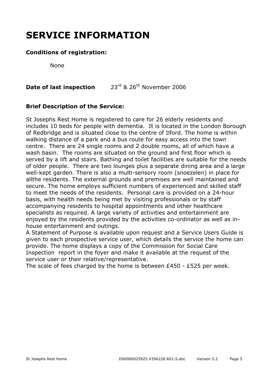# **SERVICE INFORMATION**

## **Conditions of registration:**

None

## **Date of last inspection** 23<sup>rd</sup> & 26<sup>th</sup> November 2006

## **Brief Description of the Service:**

St Josephs Rest Home is registered to care for 26 elderly residents and includes 10 beds for people with dementia. It is located in the London Borough of Redbridge and is situated close to the centre of Ilford. The home is within walking distance of a park and a bus route for easy access into the town centre. There are 24 single rooms and 2 double rooms, all of which have a wash basin. The rooms are situated on the ground and first floor which is served by a lift and stairs. Bathing and toilet facilities are suitable for the needs of older people. There are two lounges plus a separate dining area and a large well-kept garden. There is also a multi-sensory room (snoezelen) in place for allthe residents. The external grounds and premises are well maintained and secure. The home employs sufficient numbers of experienced and skilled staff to meet the needs of the residents. Personal care is provided on a 24-hour basis, with health needs being met by visiting professionals or by staff accompanying residents to hospital appointments and other healthcare specialists as required. A large variety of activities and entertainment are enjoyed by the residents provided by the activities co-ordinator as well as inhouse entertainment and outings.

A Statement of Purpose is available upon request and a Service Users Guide is given to each prospective service user, which details the service the home can provide. The home displays a copy of the Commission for Social Care Inspection report in the foyer and make it available at the request of the service user or their relative/representative.

The scale of fees charged by the home is between £450 - £525 per week.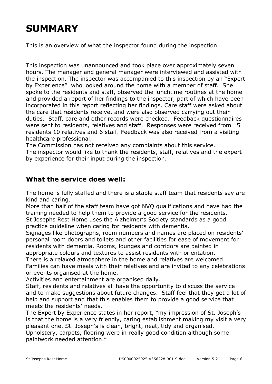# **SUMMARY**

This is an overview of what the inspector found during the inspection.

This inspection was unannounced and took place over approximately seven hours. The manager and general manager were interviewed and assisted with the inspection. The inspector was accompanied to this inspection by an "Expert by Experience" who looked around the home with a member of staff. She spoke to the residents and staff, observed the lunchtime routines at the home and provided a report of her findings to the inspector, part of which have been incorporated in this report reflecting her findings. Care staff were asked about the care that residents receive, and were also observed carrying out their duties. Staff, care and other records were checked. Feedback questionnaires were sent to residents, relatives and staff. Responses were received from 15 residents 10 relatives and 6 staff. Feedback was also received from a visiting healthcare professional.

The Commission has not received any complaints about this service. The inspector would like to thank the residents, staff, relatives and the expert by experience for their input during the inspection.

## **What the service does well:**

The home is fully staffed and there is a stable staff team that residents say are kind and caring.

More than half of the staff team have got NVQ qualifications and have had the training needed to help them to provide a good service for the residents. St Josephs Rest Home uses the Alzheimer's Society standards as a good

practice guideline when caring for residents with dementia.

Signages like photographs, room numbers and names are placed on residents' personal room doors and toilets and other facilities for ease of movement for residents with dementia. Rooms, lounges and corridors are painted in appropriate colours and textures to assist residents with orientation.

There is a relaxed atmosphere in the home and relatives are welcomed.

Families can have meals with their relatives and are invited to any celebrations or events organised at the home.

Activities and entertainment are organised daily.

Staff, residents and relatives all have the opportunity to discuss the service and to make suggestions about future changes. Staff feel that they get a lot of help and support and that this enables them to provide a good service that meets the residents' needs.

The Expert by Experience states in her report, "my impression of St. Joseph's is that the home is a very friendly, caring establishment making my visit a very pleasant one. St. Joseph's is clean, bright, neat, tidy and organised.

Upholstery, carpets, flooring were in really good condition although some paintwork needed attention."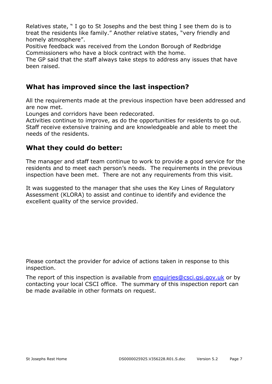Relatives state, " I go to St Josephs and the best thing I see them do is to treat the residents like family." Another relative states, "very friendly and homely atmosphere".

Positive feedback was received from the London Borough of Redbridge Commissioners who have a block contract with the home.

The GP said that the staff always take steps to address any issues that have been raised.

## **What has improved since the last inspection?**

All the requirements made at the previous inspection have been addressed and are now met.

Lounges and corridors have been redecorated.

Activities continue to improve, as do the opportunities for residents to go out. Staff receive extensive training and are knowledgeable and able to meet the needs of the residents.

## **What they could do better:**

The manager and staff team continue to work to provide a good service for the residents and to meet each person's needs. The requirements in the previous inspection have been met. There are not any requirements from this visit.

It was suggested to the manager that she uses the Key Lines of Regulatory Assessment (KLORA) to assist and continue to identify and evidence the excellent quality of the service provided.

Please contact the provider for advice of actions taken in response to this inspection.

The report of this inspection is available from enquiries@csci.gsi.gov.uk or by contacting your local CSCI office. The summary of this inspection report can be made available in other formats on request.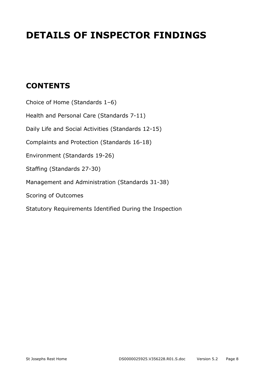# **DETAILS OF INSPECTOR FINDINGS**

## **CONTENTS**

Choice of Home (Standards 1–6) Health and Personal Care (Standards 7-11) Daily Life and Social Activities (Standards 12-15) Complaints and Protection (Standards 16-18) Environment (Standards 19-26) Staffing (Standards 27-30) Management and Administration (Standards 31-38) Scoring of Outcomes Statutory Requirements Identified During the Inspection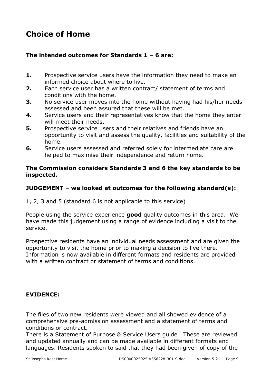## **Choice of Home**

## **The intended outcomes for Standards 1 – 6 are:**

- **1.** Prospective service users have the information they need to make an informed choice about where to live.
- **2.** Each service user has a written contract/ statement of terms and conditions with the home.
- **3.** No service user moves into the home without having had his/her needs assessed and been assured that these will be met.
- **4.** Service users and their representatives know that the home they enter will meet their needs.
- **5.** Prospective service users and their relatives and friends have an opportunity to visit and assess the quality, facilities and suitability of the home.
- **6.** Service users assessed and referred solely for intermediate care are helped to maximise their independence and return home.

## **The Commission considers Standards 3 and 6 the key standards to be inspected.**

## **JUDGEMENT – we looked at outcomes for the following standard(s):**

1, 2, 3 and 5 (standard 6 is not applicable to this service)

People using the service experience **good** quality outcomes in this area. We have made this judgement using a range of evidence including a visit to the service.

Prospective residents have an individual needs assessment and are given the opportunity to visit the home prior to making a decision to live there. Information is now available in different formats and residents are provided with a written contract or statement of terms and conditions.

## **EVIDENCE:**

The files of two new residents were viewed and all showed evidence of a comprehensive pre-admission assessment and a statement of terms and conditions or contract.

There is a Statement of Purpose & Service Users guide. These are reviewed and updated annually and can be made available in different formats and languages. Residents spoken to said that they had been given of copy of the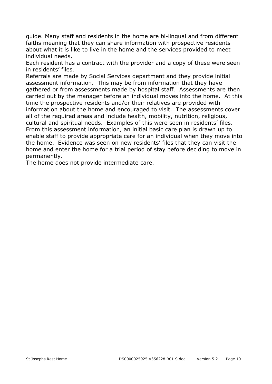guide. Many staff and residents in the home are bi-lingual and from different faiths meaning that they can share information with prospective residents about what it is like to live in the home and the services provided to meet individual needs.

Each resident has a contract with the provider and a copy of these were seen in residents' files.

Referrals are made by Social Services department and they provide initial assessment information. This may be from information that they have gathered or from assessments made by hospital staff. Assessments are then carried out by the manager before an individual moves into the home. At this time the prospective residents and/or their relatives are provided with information about the home and encouraged to visit. The assessments cover all of the required areas and include health, mobility, nutrition, religious, cultural and spiritual needs. Examples of this were seen in residents' files. From this assessment information, an initial basic care plan is drawn up to enable staff to provide appropriate care for an individual when they move into the home. Evidence was seen on new residents' files that they can visit the home and enter the home for a trial period of stay before deciding to move in permanently.

The home does not provide intermediate care.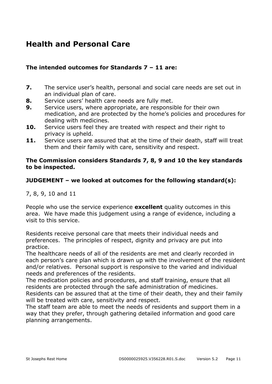## **Health and Personal Care**

## **The intended outcomes for Standards 7 – 11 are:**

- **7.** The service user's health, personal and social care needs are set out in an individual plan of care.
- **8.** Service users' health care needs are fully met.
- **9.** Service users, where appropriate, are responsible for their own medication, and are protected by the home's policies and procedures for dealing with medicines.
- **10.** Service users feel they are treated with respect and their right to privacy is upheld.
- **11.** Service users are assured that at the time of their death, staff will treat them and their family with care, sensitivity and respect.

## **The Commission considers Standards 7, 8, 9 and 10 the key standards to be inspected.**

## **JUDGEMENT – we looked at outcomes for the following standard(s):**

7, 8, 9, 10 and 11

People who use the service experience **excellent** quality outcomes in this area. We have made this judgement using a range of evidence, including a visit to this service.

Residents receive personal care that meets their individual needs and preferences. The principles of respect, dignity and privacy are put into practice.

The healthcare needs of all of the residents are met and clearly recorded in each person's care plan which is drawn up with the involvement of the resident and/or relatives. Personal support is responsive to the varied and individual needs and preferences of the residents.

The medication policies and procedures, and staff training, ensure that all residents are protected through the safe administration of medicines. Residents can be assured that at the time of their death, they and their family will be treated with care, sensitivity and respect.

The staff team are able to meet the needs of residents and support them in a way that they prefer, through gathering detailed information and good care planning arrangements.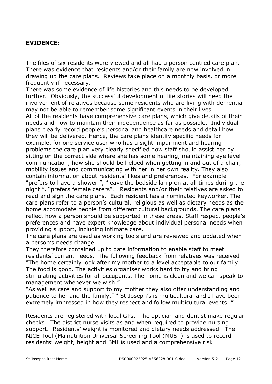## **EVIDENCE:**

The files of six residents were viewed and all had a person centred care plan. There was evidence that residents and/or their family are now involved in drawing up the care plans. Reviews take place on a monthly basis, or more frequently if necessary.

There was some evidence of life histories and this needs to be developed further. Obviously, the successful development of life stories will need the involvement of relatives because some residents who are living with dementia may not be able to remember some significant events in their lives.

All of the residents have comprehensive care plans, which give details of their needs and how to maintain their independence as far as possible. Individual plans clearly record people's personal and healthcare needs and detail how they will be delivered. Hence, the care plans identify specific needs for example, for one service user who has a sight impairment and hearing problems the care plan very clearly specified how staff should assist her by sitting on the correct side where she has some hearing, maintaining eye level communication, how she should be helped when getting in and out of a chair, mobility issues and communicating with her in her own reality. They also contain information about residents' likes and preferences. For example "prefers to have a shower ", "leave the bedside lamp on at all times during the night ", "prefers female carers". Residents and/or their relatives are asked to read and sign the care plans. Each resident has a nominated keyworker. The care plans refer to a person's cultural, religious as well as dietary needs as the home accomodate people from different cultural backgrounds. The care plans reflect how a person should be supported in these areas. Staff respect people's preferences and have expert knowledge about individual personal needs when providing support, including intimate care.

The care plans are used as working tools and are reviewed and updated when a person's needs change.

They therefore contained up to date information to enable staff to meet residents' current needs. The following feedback from relatives was received "The home certainly look after my mother to a level acceptable to our family. The food is good. The activities organiser works hard to try and bring stimulating activities for all occupants. The home is clean and we can speak to management whenever we wish."

"As well as care and support to my mother they also offer understanding and patience to her and the family." " St Joseph's is multicultural and I have been extremely impressed in how they respect and follow multicultural events. "

Residents are registered with local GPs. The optician and dentist make regular checks. The district nurse visits as and when required to provide nursing support. Residents' weight is monitored and dietary needs addressed. The NICE Tool (Malnutrition Universal Screening Tool (MUST) is used to record residents' weight, height and BMI is used and a comprehensive risk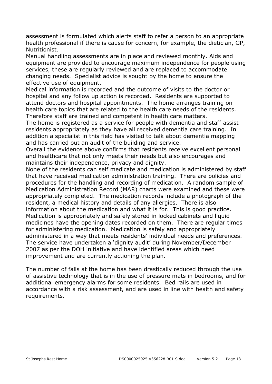assessment is formulated which alerts staff to refer a person to an appropriate health professional if there is cause for concern, for example, the dietician, GP, Nutritionist.

Manual handling assessments are in place and reviewed monthly. Aids and equipment are provided to encourage maximum independence for people using services, these are regularly reviewed and are replaced to accommodate changing needs. Specialist advice is sought by the home to ensure the effective use of equipment.

Medical information is recorded and the outcome of visits to the doctor or hospital and any follow up action is recorded. Residents are supported to attend doctors and hospital appointments. The home arranges training on health care topics that are related to the health care needs of the residents. Therefore staff are trained and competent in health care matters.

The home is registered as a service for people with dementia and staff assist residents appropriately as they have all received dementia care training. In addition a specialist in this field has visited to talk about dementia mapping and has carried out an audit of the building and service.

Overall the evidence above confirms that residents receive excellent personal and healthcare that not only meets their needs but also encourages and maintains their independence, privacy and dignity.

None of the residents can self medicate and medication is administered by staff that have received medication administration training. There are policies and procedures for the handling and recording of medication. A random sample of Medication Administration Record (MAR) charts were examined and these were appropriately completed. The medication records include a photograph of the resident, a medical history and details of any allergies. There is also information about the medication and what it is for. This is good practice. Medication is appropriately and safely stored in locked cabinets and liquid medicines have the opening dates recorded on them. There are regular times for administering medication. Medication is safely and appropriately administered in a way that meets residents' individual needs and preferences. The service have undertaken a 'dignity audit' during November/December 2007 as per the DOH initiative and have identified areas which need improvement and are currently actioning the plan.

The number of falls at the home has been drastically reduced through the use of assistive technology that is in the use of pressure mats in bedrooms, and for additional emergency alarms for some residents. Bed rails are used in accordance with a risk assessment, and are used in line with health and safety requirements.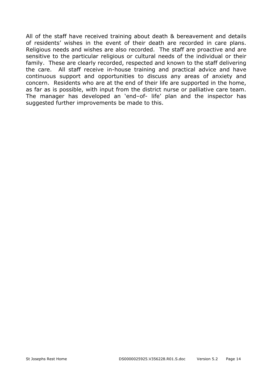All of the staff have received training about death & bereavement and details of residents' wishes in the event of their death are recorded in care plans. Religious needs and wishes are also recorded. The staff are proactive and are sensitive to the particular religious or cultural needs of the individual or their family. These are clearly recorded, respected and known to the staff delivering the care. All staff receive in-house training and practical advice and have continuous support and opportunities to discuss any areas of anxiety and concern. Residents who are at the end of their life are supported in the home, as far as is possible, with input from the district nurse or palliative care team. The manager has developed an 'end–of- life' plan and the inspector has suggested further improvements be made to this.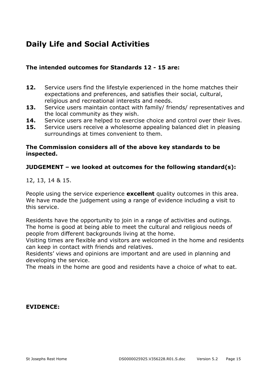## **Daily Life and Social Activities**

## **The intended outcomes for Standards 12 - 15 are:**

- **12.** Service users find the lifestyle experienced in the home matches their expectations and preferences, and satisfies their social, cultural, religious and recreational interests and needs.
- **13.** Service users maintain contact with family/ friends/ representatives and the local community as they wish.
- **14.** Service users are helped to exercise choice and control over their lives.
- **15.** Service users receive a wholesome appealing balanced diet in pleasing surroundings at times convenient to them.

## **The Commission considers all of the above key standards to be inspected.**

## **JUDGEMENT – we looked at outcomes for the following standard(s):**

12, 13, 14 & 15.

People using the service experience **excellent** quality outcomes in this area. We have made the judgement using a range of evidence including a visit to this service.

Residents have the opportunity to join in a range of activities and outings. The home is good at being able to meet the cultural and religious needs of people from different backgrounds living at the home.

Visiting times are flexible and visitors are welcomed in the home and residents can keep in contact with friends and relatives.

Residents' views and opinions are important and are used in planning and developing the service.

The meals in the home are good and residents have a choice of what to eat.

## **EVIDENCE:**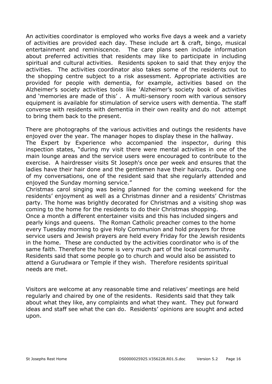An activities coordinator is employed who works five days a week and a variety of activities are provided each day. These include art & craft, bingo, musical entertainment and reminiscence. The care plans seen include information about preferred activities that residents may like to participate in including spiritual and cultural activities. Residents spoken to said that they enjoy the activities. The activities coordinator also takes some of the residents out to the shopping centre subject to a risk assessment. Appropriate activities are provided for people with dementia, for example, activities based on the Alzheimer's society activities tools like 'Alzheimer's society book of activities and 'memories are made of this' . A multi-sensory room with various sensory equipment is available for stimulation of service users with dementia. The staff converse with residents with dementia in their own reality and do not attempt to bring them back to the present.

There are photographs of the various activities and outings the residents have enjoyed over the year. The manager hopes to display these in the hallway.

The Expert by Experience who accompanied the inspector, during this inspection states, "during my visit there were mental activities in one of the main lounge areas and the service users were encouraged to contribute to the exercise. A hairdresser visits St Joseph's once per week and ensures that the ladies have their hair done and the gentlemen have their haircuts. During one of my conversations, one of the resident said that she regularly attended and enjoyed the Sunday morning service."

Christmas carol singing was being planned for the coming weekend for the residents' enjoyment as well as a Christmas dinner and a residents' Christmas party. The home was brightly decorated for Christmas and a visiting shop was coming to the home for the residents to do their Christmas shopping.

Once a month a different entertainer visits and this has included singers and pearly kings and queens. The Roman Catholic preacher comes to the home every Tuesday morning to give Holy Communion and hold prayers for three service users and Jewish prayers are held every Friday for the Jewish residents in the home. These are conducted by the activities coordinator who is of the same faith. Therefore the home is very much part of the local community. Residents said that some people go to church and would also be assisted to attend a Gurudwara or Temple if they wish. Therefore residents spiritual needs are met.

Visitors are welcome at any reasonable time and relatives' meetings are held regularly and chaired by one of the residents. Residents said that they talk about what they like, any complaints and what they want. They put forward ideas and staff see what the can do. Residents' opinions are sought and acted upon.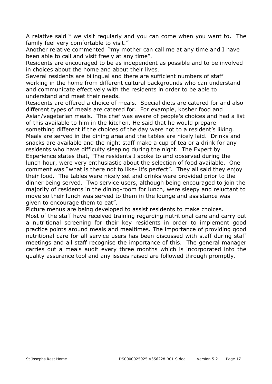A relative said " we visit regularly and you can come when you want to. The family feel very comfortable to visit."

Another relative commented "my mother can call me at any time and I have been able to call and visit freely at any time".

Residents are encouraged to be as independent as possible and to be involved in choices about the home and about their lives.

Several residents are bilingual and there are sufficient numbers of staff working in the home from different cultural backgrounds who can understand and communicate effectively with the residents in order to be able to understand and meet their needs.

Residents are offered a choice of meals. Special diets are catered for and also different types of meals are catered for. For example, kosher food and Asian/vegetarian meals. The chef was aware of people's choices and had a list of this available to him in the kitchen. He said that he would prepare something different if the choices of the day were not to a resident's liking. Meals are served in the dining area and the tables are nicely laid. Drinks and snacks are available and the night staff make a cup of tea or a drink for any residents who have difficulty sleeping during the night. The Expert by Experience states that, "The residents I spoke to and observed during the lunch hour, were very enthusiastic about the selection of food available. One comment was "what is there not to like- it's perfect". They all said they enjoy their food. The tables were nicely set and drinks were provided prior to the dinner being served. Two service users, although being encouraged to join the majority of residents in the dining-room for lunch, were sleepy and reluctant to move so their lunch was served to them in the lounge and assistance was given to encourage them to eat".

Picture menus are being developed to assist residents to make choices.

Most of the staff have received training regarding nutritional care and carry out a nutritional screening for their key residents in order to implement good practice points around meals and mealtimes. The importance of providing good nutritional care for all service users has been discussed with staff during staff meetings and all staff recognise the importance of this. The general manager carries out a meals audit every three months which is incorporated into the quality assurance tool and any issues raised are followed through promptly.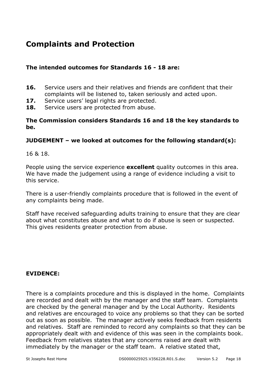## **Complaints and Protection**

## **The intended outcomes for Standards 16 - 18 are:**

- **16.** Service users and their relatives and friends are confident that their complaints will be listened to, taken seriously and acted upon.
- 17. Service users' legal rights are protected.
- **18.** Service users are protected from abuse.

## **The Commission considers Standards 16 and 18 the key standards to be.**

## **JUDGEMENT – we looked at outcomes for the following standard(s):**

16 & 18.

People using the service experience **excellent** quality outcomes in this area. We have made the judgement using a range of evidence including a visit to this service.

There is a user-friendly complaints procedure that is followed in the event of any complaints being made.

Staff have received safeguarding adults training to ensure that they are clear about what constitutes abuse and what to do if abuse is seen or suspected. This gives residents greater protection from abuse.

## **EVIDENCE:**

There is a complaints procedure and this is displayed in the home. Complaints are recorded and dealt with by the manager and the staff team. Complaints are checked by the general manager and by the Local Authority. Residents and relatives are encouraged to voice any problems so that they can be sorted out as soon as possible. The manager actively seeks feedback from residents and relatives. Staff are reminded to record any complaints so that they can be appropriately dealt with and evidence of this was seen in the complaints book. Feedback from relatives states that any concerns raised are dealt with immediately by the manager or the staff team. A relative stated that,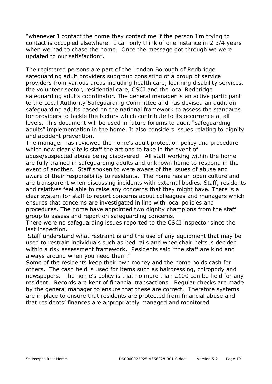"whenever I contact the home they contact me if the person I'm trying to contact is occupied elsewhere. I can only think of one instance in 2 3/4 years when we had to chase the home. Once the message got through we were updated to our satisfaction".

The registered persons are part of the London Borough of Redbridge safeguarding adult providers subgroup consisting of a group of service providers from various areas including health care, learning disability services, the volunteer sector, residential care, CSCI and the local Redbridge safeguarding adults coordinator. The general manager is an active participant to the Local Authority Safeguarding Committee and has devised an audit on safeguarding adults based on the national framework to assess the standards for providers to tackle the factors which contribute to its occurrence at all levels. This document will be used in future forums to audit "safeguarding adults" implementation in the home. It also considers issues relating to dignity and accident prevention.

The manager has reviewed the home's adult protection policy and procedure which now clearly tells staff the actions to take in the event of

abuse/suspected abuse being discovered. All staff working within the home are fully trained in safeguarding adults and unknown home to respond in the event of another. Staff spoken to were aware of the issues of abuse and aware of their responsibility to residents. The home has an open culture and are transparent when discussing incidents with external bodies. Staff, residents and relatives feel able to raise any concerns that they might have. There is a clear system for staff to report concerns about colleagues and managers which ensures that concerns are investigated in line with local policies and procedures. The home have appointed two dignity champions from the staff group to assess and report on safeguarding concerns.

There were no safeguarding issues reported to the CSCI inspector since the last inspection.

 Staff understand what restraint is and the use of any equipment that may be used to restrain individuals such as bed rails and wheelchair belts is decided within a risk assessment framework. Residents said "the staff are kind and always around when you need them."

Some of the residents keep their own money and the home holds cash for others. The cash held is used for items such as hairdressing, chiropody and newspapers. The home's policy is that no more than £100 can be held for any resident. Records are kept of financial transactions. Regular checks are made by the general manager to ensure that these are correct. Therefore systems are in place to ensure that residents are protected from financial abuse and that residents' finances are appropriately managed and monitored.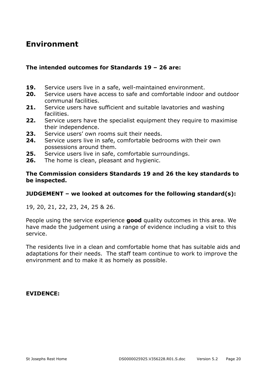## **Environment**

## **The intended outcomes for Standards 19 – 26 are:**

- **19.** Service users live in a safe, well-maintained environment.
- **20.** Service users have access to safe and comfortable indoor and outdoor communal facilities.
- **21.** Service users have sufficient and suitable lavatories and washing facilities.
- **22.** Service users have the specialist equipment they require to maximise their independence.
- **23.** Service users' own rooms suit their needs.
- **24.** Service users live in safe, comfortable bedrooms with their own possessions around them.
- **25.** Service users live in safe, comfortable surroundings.
- **26.** The home is clean, pleasant and hygienic.

## **The Commission considers Standards 19 and 26 the key standards to be inspected.**

## **JUDGEMENT – we looked at outcomes for the following standard(s):**

19, 20, 21, 22, 23, 24, 25 & 26.

People using the service experience **good** quality outcomes in this area. We have made the judgement using a range of evidence including a visit to this service.

The residents live in a clean and comfortable home that has suitable aids and adaptations for their needs. The staff team continue to work to improve the environment and to make it as homely as possible.

**EVIDENCE:**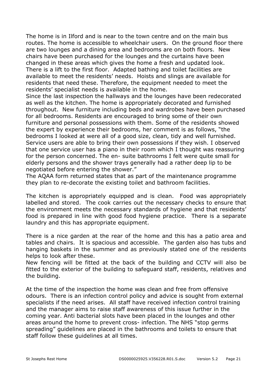The home is in Ilford and is near to the town centre and on the main bus routes. The home is accessible to wheelchair users. On the ground floor there are two lounges and a dining area and bedrooms are on both floors. New chairs have been purchased for the lounges and the curtains have been changed in these areas which gives the home a fresh and updated look. There is a lift to the first floor. Adapted bathing and toilet facilities are available to meet the residents' needs. Hoists and slings are available for residents that need these. Therefore, the equipment needed to meet the residents' specialist needs is available in the home.

Since the last inspection the hallways and the lounges have been redecorated as well as the kitchen. The home is appropriately decorated and furnished throughout. New furniture including beds and wardrobes have been purchased for all bedrooms. Residents are encouraged to bring some of their own furniture and personal possessions with them. Some of the residents showed the expert by experience their bedrooms, her comment is as follows, "the bedrooms I looked at were all of a good size, clean, tidy and well furnished. Service users are able to bring their own possessions if they wish. I observed that one service user has a piano in their room which I thought was reassuring for the person concerned. The en- suite bathrooms I felt were quite small for elderly persons and the shower trays generally had a rather deep lip to be negotiated before entering the shower."

The AQAA form returned states that as part of the maintenance programme they plan to re-decorate the existing toilet and bathroom facilities.

The kitchen is appropriately equipped and is clean. Food was appropriately labelled and stored. The cook carries out the necessary checks to ensure that the environment meets the necessary standards of hygiene and that residents' food is prepared in line with good food hygiene practice. There is a separate laundry and this has appropriate equipment.

There is a nice garden at the rear of the home and this has a patio area and tables and chairs. It is spacious and accessible. The garden also has tubs and hanging baskets in the summer and as previously stated one of the residents helps to look after these.

New fencing will be fitted at the back of the building and CCTV will also be fitted to the exterior of the building to safeguard staff, residents, relatives and the building.

At the time of the inspection the home was clean and free from offensive odours. There is an infection control policy and advice is sought from external specialists if the need arises. All staff have received infection control training and the manager aims to raise staff awareness of this issue further in the coming year. Anti bacterial slots have been placed in the lounges and other areas around the home to prevent cross- infection. The NHS "stop germs spreading" guidelines are placed in the bathrooms and toilets to ensure that staff follow these guidelines at all times.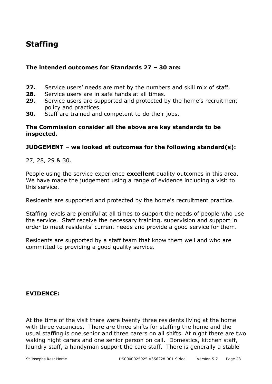## **Staffing**

## **The intended outcomes for Standards 27 – 30 are:**

- **27.** Service users' needs are met by the numbers and skill mix of staff.
- **28.** Service users are in safe hands at all times.
- **29.** Service users are supported and protected by the home's recruitment policy and practices.
- **30.** Staff are trained and competent to do their jobs.

#### **The Commission consider all the above are key standards to be inspected.**

## **JUDGEMENT – we looked at outcomes for the following standard(s):**

27, 28, 29 & 30.

People using the service experience **excellent** quality outcomes in this area. We have made the judgement using a range of evidence including a visit to this service.

Residents are supported and protected by the home's recruitment practice.

Staffing levels are plentiful at all times to support the needs of people who use the service. Staff receive the necessary training, supervision and support in order to meet residents' current needs and provide a good service for them.

Residents are supported by a staff team that know them well and who are committed to providing a good quality service.

## **EVIDENCE:**

At the time of the visit there were twenty three residents living at the home with three vacancies. There are three shifts for staffing the home and the usual staffing is one senior and three carers on all shifts. At night there are two waking night carers and one senior person on call. Domestics, kitchen staff, laundry staff, a handyman support the care staff. There is generally a stable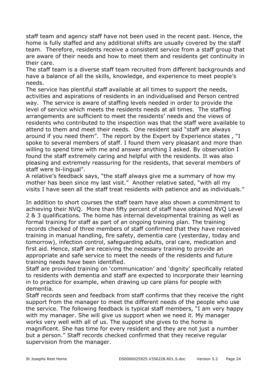staff team and agency staff have not been used in the recent past. Hence, the home is fully staffed and any additional shifts are usually covered by the staff team. Therefore, residents receive a consistent service from a staff group that are aware of their needs and how to meet them and residents get continuity in their care.

The staff team is a diverse staff team recruited from different backgrounds and have a balance of all the skills, knowledge, and experience to meet people's needs.

The service has plentiful staff available at all times to support the needs, activities and aspirations of residents in an individualised and Person centred way. The service is aware of staffing levels needed in order to provide the level of service which meets the residents needs at all times. The staffing arrangements are sufficient to meet the residents' needs and the views of residents who contributed to the inspection was that the staff were available to attend to them and meet their needs. One resident said "staff are always around if you need them". The report by the Expert by Experience states , "I spoke to several members of staff. I found them very pleasant and more than willing to spend time with me and answer anything I asked. By observation I found the staff extremely caring and helpful with the residents. It was also pleasing and extremely reassuring for the residents, that several members of staff were bi-lingual".

A relative's feedback says, "the staff always give me a summary of how my mother has been since my last visit." Another relative sated, "with all my visits I have seen all the staff treat residents with patience and as individuals."

In addition to short courses the staff team have also shown a commitment to achieving their NVQ. More than fifty percent of staff have obtained NVQ Level 2 & 3 qualifications. The home has internal developmental training as well as formal training for staff as part of an ongoing training plan. The training records checked of three members of staff confirmed that they have received training in manual handling, fire safety, dementia care (yesterday, today and tomorrow), infection control, safeguarding adults, oral care, medication and first aid. Hence, staff are receiving the necessary training to provide an appropriate and safe service to meet the needs of the residents and future training needs have been identified.

Staff are provided training on 'communication' and 'dignity' specifically related to residents with dementia and staff are expected to incorporate their learning in to practice for example, when drawing up care plans for people with dementia.

Staff records seen and feedback from staff confirms that they receive the right support from the manager to meet the different needs of the people who use the service. The following feedback is typical staff members, "I am very happy with my manager. She will give us support when we need it. My manager works very well with all of us. The support she gives to the home is magnificent. She has time for every resident and they are not just a number but a person." Staff records checked confirmed that they receive regular supervision from the manager.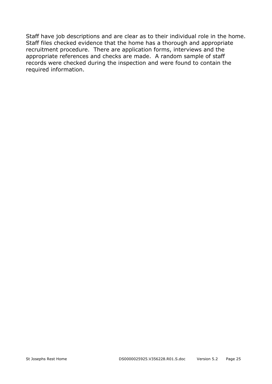Staff have job descriptions and are clear as to their individual role in the home. Staff files checked evidence that the home has a thorough and appropriate recruitment procedure. There are application forms, interviews and the appropriate references and checks are made. A random sample of staff records were checked during the inspection and were found to contain the required information.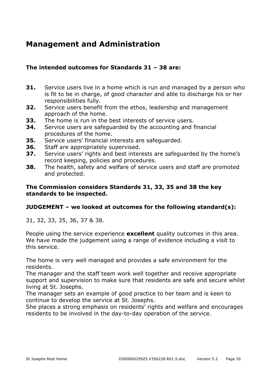## **Management and Administration**

## **The intended outcomes for Standards 31 – 38 are:**

- **31.** Service users live in a home which is run and managed by a person who is fit to be in charge, of good character and able to discharge his or her responsibilities fully.
- **32.** Service users benefit from the ethos, leadership and management approach of the home.
- **33.** The home is run in the best interests of service users.
- **34.** Service users are safeguarded by the accounting and financial procedures of the home.
- **35.** Service users' financial interests are safeguarded.
- **36.** Staff are appropriately supervised.
- **37.** Service users' rights and best interests are safeguarded by the home's record keeping, policies and procedures.
- **38.** The health, safety and welfare of service users and staff are promoted and protected.

## **The Commission considers Standards 31, 33, 35 and 38 the key standards to be inspected.**

## **JUDGEMENT – we looked at outcomes for the following standard(s):**

31, 32, 33, 35, 36, 37 & 38.

People using the service experience **excellent** quality outcomes in this area. We have made the judgement using a range of evidence including a visit to this service.

The home is very well managed and provides a safe environment for the residents.

The manager and the staff team work well together and receive appropriate support and supervision to make sure that residents are safe and secure whilst living at St. Josephs.

The manager sets an example of good practice to her team and is keen to continue to develop the service at St. Josephs.

She places a strong emphasis on residents' rights and welfare and encourages residents to be involved in the day-to-day operation of the service.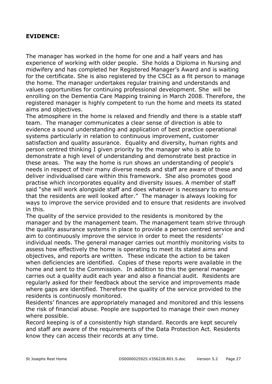## **EVIDENCE:**

The manager has worked in the home for one and a half years and has experience of working with older people. She holds a Diploma in Nursing and midwifery and has completed her Registered Manager's Award and is waiting for the certificate. She is also registered by the CSCI as a fit person to manage the home. The manager undertakes regular training and understands and values opportunities for continuing professional development. She will be enrolling on the Dementia Care Mapping training in March 2008. Therefore, the registered manager is highly competent to run the home and meets its stated aims and objectives.

The atmosphere in the home is relaxed and friendly and there is a stable staff team. The manager communicates a clear sense of direction is able to evidence a sound understanding and application of best practice operational systems particularly in relation to continuous improvement, customer satisfaction and quality assurance. Equality and diversity, human rights and person centred thinking I given priority by the manager who is able to demonstrate a high level of understanding and demonstrate best practice in these areas. The way the home is run shows an understanding of people's needs in respect of their many diverse needs and staff are aware of these and deliver individualised care within this framework. She also promotes good practise which incorporates equality and diversity issues. A member of staff said "she will work alongside staff and does whatever is necessary to ensure that the residents are well looked after." The manager is always looking for ways to improve the service provided and to ensure that residents are involved in this.

The quality of the service provided to the residents is monitored by the manager and by the management team. The management team strive through the quality assurance systems in place to provide a person centred service and aim to continuously improve the service in order to meet the residents' individual needs. The general manager carries out monthly monitoring visits to assess how effectively the home is operating to meet its stated aims and objectives, and reports are written. These indicate the action to be taken when deficiencies are identified. Copies of these reports were available in the home and sent to the Commission. In addition to this the general manager carries out a quality audit each year and also a financial audit. Residents are regularly asked for their feedback about the service and improvements made where gaps are identified. Therefore the quality of the service provided to the residents is continuosly monitored.

Residents' finances are appropriately managed and monitored and this lessens the risk of financial abuse. People are supported to manage their own money where possible.

Record keeping is of a consistently high standard. Records are kept securely and staff are aware of the requirements of the Data Protection Act. Residents know they can access their records at any time.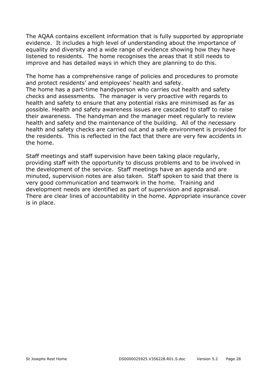The AQAA contains excellent information that is fully supported by appropriate evidence. It includes a high level of understanding about the importance of equality and diversity and a wide range of evidence showing how they have listened to residents. The home recognises the areas that it still needs to improve and has detailed ways in which they are planning to do this.

The home has a comprehensive range of policies and procedures to promote and protect residents' and employees' health and safety.

The home has a part-time handyperson who carries out health and safety checks and assessments. The manager is very proactive with regards to health and safety to ensure that any potential risks are minimised as far as possible. Health and safety awareness issues are cascaded to staff to raise their awareness. The handyman and the manager meet regularly to review health and safety and the maintenance of the building. All of the necessary health and safety checks are carried out and a safe environment is provided for the residents. This is reflected in the fact that there are very few accidents in the home.

Staff meetings and staff supervision have been taking place regularly, providing staff with the opportunity to discuss problems and to be involved in the development of the service. Staff meetings have an agenda and are minuted, supervision notes are also taken. Staff spoken to said that there is very good communication and teamwork in the home. Training and development needs are identified as part of supervision and appraisal. There are clear lines of accountability in the home. Appropriate insurance cover is in place.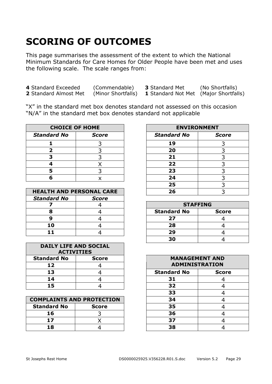# **SCORING OF OUTCOMES**

This page summarises the assessment of the extent to which the National Minimum Standards for Care Homes for Older People have been met and uses the following scale. The scale ranges from:

| 4 Standard Exceeded   | (Commendable)      | <b>3</b> Standard Met                        | (No Shortfalls) |
|-----------------------|--------------------|----------------------------------------------|-----------------|
| 2 Standard Almost Met | (Minor Shortfalls) | <b>1</b> Standard Not Met (Major Shortfalls) |                 |

"X" in the standard met box denotes standard not assessed on this occasion "N/A" in the standard met box denotes standard not applicable

| <b>CHOICE OF HOME</b> |              |                    | <b>ENVIRONMENT</b> |
|-----------------------|--------------|--------------------|--------------------|
| <b>Standard No</b>    | <b>Score</b> | <b>Standard No</b> | <b>Score</b>       |
|                       |              | 19                 |                    |
|                       |              | 20                 |                    |
|                       |              |                    |                    |
|                       |              | 22                 |                    |
|                       |              | 23                 |                    |
|                       |              |                    |                    |

| <b>HEALTH AND PERSONAL CARE</b>    |  | 26                 |                 |
|------------------------------------|--|--------------------|-----------------|
| <b>Standard No</b><br><b>Score</b> |  |                    |                 |
|                                    |  |                    | <b>STAFFING</b> |
|                                    |  | <b>Standard No</b> | <b>Scor</b>     |
|                                    |  | 27                 |                 |
|                                    |  | 28                 |                 |
|                                    |  | つロ                 |                 |

| <b>DAILY LIFE AND SOCIAL</b><br><b>ACTIVITIES</b> |              |  |
|---------------------------------------------------|--------------|--|
| <b>Standard No</b>                                | <b>Score</b> |  |
| 12                                                |              |  |
| 13                                                |              |  |
| 14                                                |              |  |
| 15                                                |              |  |

| <b>COMPLAINTS AND PROTECTION</b> |              |  | 34 |  |
|----------------------------------|--------------|--|----|--|
| <b>Standard No</b>               | <b>Score</b> |  | 35 |  |
|                                  |              |  | 36 |  |
|                                  |              |  |    |  |
|                                  |              |  | 38 |  |

| <b>CHOICE OF HOME</b>       |              | <b>ENVIRONMENT</b> |              |
|-----------------------------|--------------|--------------------|--------------|
| 'ard No                     | <b>Score</b> | <b>Standard No</b> | <b>Score</b> |
| 1                           |              | 19                 |              |
| $\overline{\mathbf{2}}$     |              | 20                 |              |
| 3                           |              | 21                 |              |
| 4                           |              | 22                 |              |
| 5                           |              | 23                 |              |
| 6                           |              | 24                 |              |
|                             |              | 25                 |              |
| <b>TH AND PERSONAL CARE</b> |              | 26                 |              |

| <b>STAFFING</b>    |              |
|--------------------|--------------|
| <b>Standard No</b> | <b>Score</b> |
|                    |              |
| 28                 |              |
| 29                 |              |
| 30                 |              |
|                    |              |

| dard No<br><b>Score</b> |                              |                    | <b>MANAGEMENT AND</b> |
|-------------------------|------------------------------|--------------------|-----------------------|
| 12                      |                              |                    | <b>ADMINISTRATION</b> |
| 13                      |                              | <b>Standard No</b> | <b>Score</b>          |
| 14                      |                              | 31                 |                       |
| 15                      |                              | 32                 |                       |
|                         |                              | 33                 |                       |
|                         | <b>LAINTS AND PROTECTION</b> | 34                 |                       |
| dard No                 | <b>Score</b>                 | 35                 |                       |
| 16                      |                              | 36                 |                       |
| 17                      |                              | 37                 |                       |
| 18                      |                              | 38                 |                       |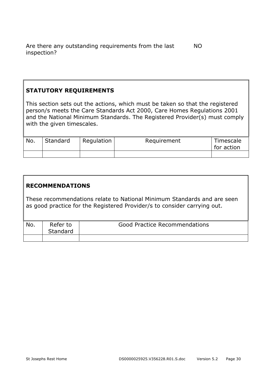Are there any outstanding requirements from the last inspection? NO

## **STATUTORY REQUIREMENTS**

This section sets out the actions, which must be taken so that the registered person/s meets the Care Standards Act 2000, Care Homes Regulations 2001 and the National Minimum Standards. The Registered Provider(s) must comply with the given timescales.

| No. | Standard | Regulation | Requirement | Timescale<br>for action |
|-----|----------|------------|-------------|-------------------------|
|     |          |            |             |                         |

## **RECOMMENDATIONS**

These recommendations relate to National Minimum Standards and are seen as good practice for the Registered Provider/s to consider carrying out.

| No. | Refer to<br>Standard | Good Practice Recommendations |
|-----|----------------------|-------------------------------|
|     |                      |                               |